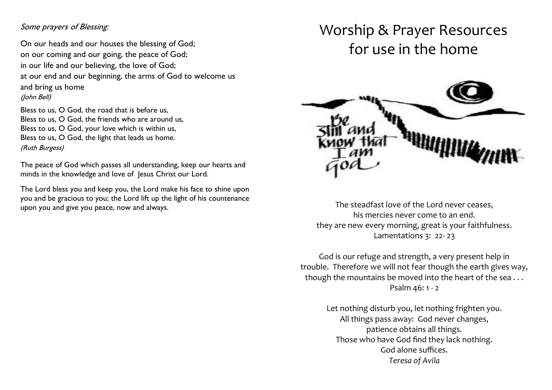## Some prayers of Blessing:

ľ

 On our heads and our houses the blessing of God; on our coming and our going, the peace of God; in our life and our believing, the love of God; at our end and our beginning, the arms of God to welcome us and bring us home (John Bell)

 Bless to us, O God, your love which is within us, Bless to us, O God, the road that is before us, Bless to us, O God, the friends who are around us, Bless to us, O God, the light that leads us home. (Ruth Burgess)

The peace of God which passes all understanding, keep our hearts and minds in the knowledge and love of Jesus Christ our Lord.

The Lord bless you and keep you, the Lord make his face to shine upon you and be gracious to you; the Lord lift up the light of his countenance upon you and give you peace, now and always.

# Worship & Prayer Resources for use in the home



The steadfast love of the Lord never ceases, his mercies never come to an end. they are new every morning, great is your faithfulness. Lamentations 3: 22- 23

God is our refuge and strength, a very present help in trouble. Therefore we will not fear though the earth gives way, though the mountains be moved into the heart of the sea... Psalm 46: 1 - 2

> Let nothing disturb you, let nothing frighten you. All things pass away: God never changes, patience obtains all things. Those who have God find they lack nothing. God alone suffices. *Teresa of Avila*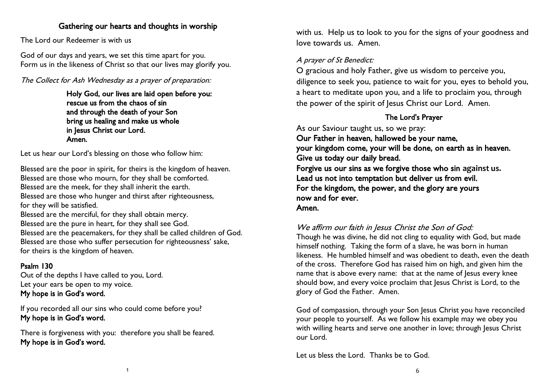## Gathering our hearts and thoughts in worship

The Lord our Redeemer is with us

God of our days and years, we set this time apart for you. Form us in the likeness of Christ so that our lives may glorify you.

The Collect for Ash Wednesday as a prayer of preparation:

Holy God, our lives are laid open before you: rescue us from the chaos of sin and through the death of your Son bring us healing and make us whole in Jesus Christ our Lord. Amen.

Let us hear our Lord's blessing on those who follow him:

Blessed are the poor in spirit, for theirs is the kingdom of heaven. Blessed are those who mourn, for they shall be comforted. Blessed are the meek, for they shall inherit the earth. Blessed are those who hunger and thirst after righteousness, for they will be satisfied. Blessed are the merciful, for they shall obtain mercy. Blessed are the pure in heart, for they shall see God. Blessed are the peacemakers, for they shall be called children of God. Blessed are those who suffer persecution for righteousness' sake, for theirs is the kingdom of heaven.

## Psalm 130

Out of the depths I have called to you, Lord. Let your ears be open to my voice. My hope is in God's word.

If you recorded all our sins who could come before you? My hope is in God's word.

There is forgiveness with you: therefore you shall be feared. My hope is in God's word.

with us. Help us to look to you for the signs of your goodness and love towards us. Amen.

## A prayer of St Benedict:

O gracious and holy Father, give us wisdom to perceive you, diligence to seek you, patience to wait for you, eyes to behold you, a heart to meditate upon you, and a life to proclaim you, through the power of the spirit of Jesus Christ our Lord. Amen.

## The Lord's Prayer

As our Saviour taught us, so we pray: Our Father in heaven, hallowed be your name, your kingdom come, your will be done, on earth as in heaven. Give us today our daily bread. Forgive us our sins as we forgive those who sin **against us.**  Lead us not into temptation but deliver us from evil. For the kingdom, the power, and the glory are yours now and for ever. Amen.

## We affirm our faith in Jesus Christ the Son of God:

Though he was divine, he did not cling to equality with God, but made himself nothing. Taking the form of a slave, he was born in human likeness. He humbled himself and was obedient to death, even the death of the cross. Therefore God has raised him on high, and given him the name that is above every name: that at the name of Jesus every knee should bow, and every voice proclaim that Jesus Christ is Lord, to the glory of God the Father. Amen.

God of compassion, through your Son Jesus Christ you have reconciled your people to yourself. As we follow his example may we obey you with willing hearts and serve one another in love; through Jesus Christ our Lord.

Let us bless the Lord. Thanks be to God.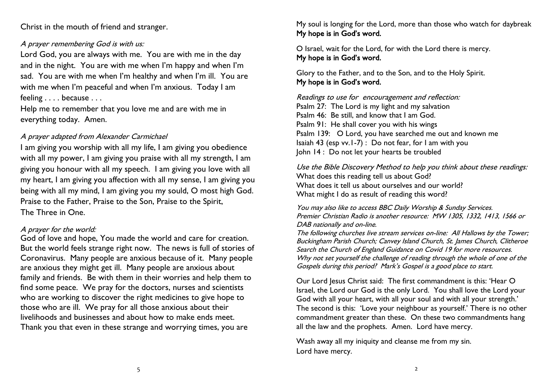Christ in the mouth of friend and stranger.

#### A prayer remembering God is with us:

Lord God, you are always with me. You are with me in the day and in the night. You are with me when I'm happy and when I'm sad. You are with me when I'm healthy and when I'm ill. You are with me when I'm peaceful and when I'm anxious. Today I am feeling . . . . because . . .

Help me to remember that you love me and are with me in everything today. Amen.

#### A prayer adapted from Alexander Carmichael

I am giving you worship with all my life, I am giving you obedience with all my power, I am giving you praise with all my strength, I am giving you honour with all my speech. I am giving you love with all my heart, I am giving you affection with all my sense, I am giving you being with all my mind, I am giving you my sould, O most high God. Praise to the Father, Praise to the Son, Praise to the Spirit, The Three in One.

#### A prayer for the world:

God of love and hope, You made the world and care for creation. But the world feels strange right now. The news is full of stories of Coronavirus. Many people are anxious because of it. Many people are anxious they might get ill. Many people are anxious about family and friends. Be with them in their worries and help them to find some peace. We pray for the doctors, nurses and scientists who are working to discover the right medicines to give hope to those who are ill. We pray for all those anxious about their livelihoods and businesses and about how to make ends meet. Thank you that even in these strange and worrying times, you are

My soul is longing for the Lord, more than those who watch for daybreak My hope is in God's word.

O Israel, wait for the Lord, for with the Lord there is mercy. My hope is in God's word.

Glory to the Father, and to the Son, and to the Holy Spirit. My hope is in God's word.

Readings to use for encouragement and reflection: Psalm 27: The Lord is my light and my salvation Psalm 46: Be still, and know that I am God. Psalm 91: He shall cover you with his wings Psalm 139: O Lord, you have searched me out and known me Isaiah 43 (esp vv.1-7) : Do not fear, for I am with you John 14 : Do not let your hearts be troubled

Use the Bible Discovery Method to help you think about these readings: What does this reading tell us about God? What does it tell us about ourselves and our world? What might I do as result of reading this word?

You may also like to access BBC Daily Worship & Sunday Services. Premier Christian Radio is another resource: MW 1305, 1332, 1413, 1566 or DAB nationally and on-line.

The following churches live stream services on-line: All Hallows by the Tower; Buckingham Parish Church; Canvey Island Church, St. James Church, Clitheroe Search the Church of England Guidance on Covid 19 for more resources. Why not set yourself the challenge of reading through the whole of one of the Gospels during this period? Mark's Gospel is a good place to start.

Our Lord Jesus Christ said: The first commandment is this: 'Hear O Israel, the Lord our God is the only Lord. You shall love the Lord your God with all your heart, with all your soul and with all your strength.' The second is this: 'Love your neighbour as yourself.' There is no other commandment greater than these. On these two commandments hang all the law and the prophets. Amen. Lord have mercy.

Wash away all my iniquity and cleanse me from my sin. Lord have mercy.